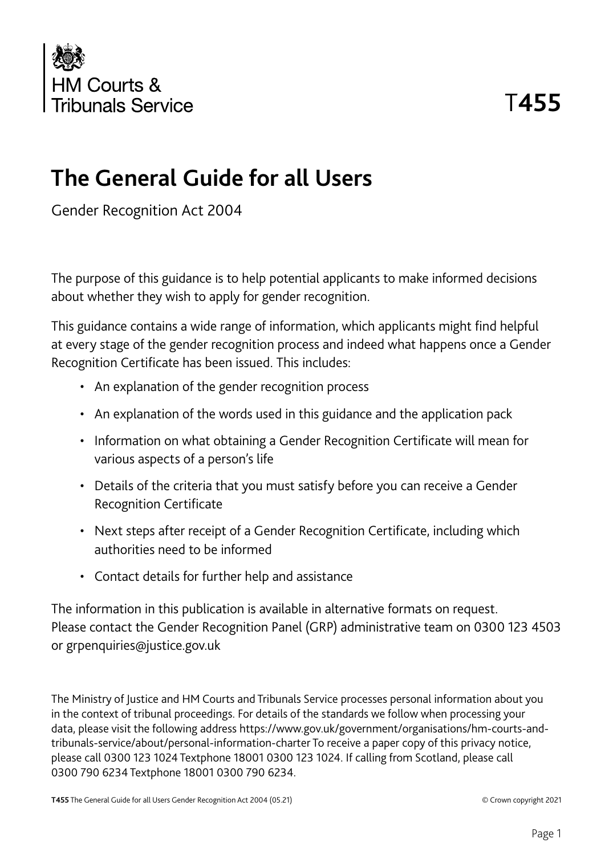

# **The General Guide for all Users**

Gender Recognition Act 2004

The purpose of this guidance is to help potential applicants to make informed decisions about whether they wish to apply for gender recognition.

This guidance contains a wide range of information, which applicants might find helpful at every stage of the gender recognition process and indeed what happens once a Gender Recognition Certificate has been issued. This includes:

- An explanation of the gender recognition process
- An explanation of the words used in this guidance and the application pack
- Information on what obtaining a Gender Recognition Certificate will mean for various aspects of a person's life
- Details of the criteria that you must satisfy before you can receive a Gender Recognition Certificate
- Next steps after receipt of a Gender Recognition Certificate, including which authorities need to be informed
- Contact details for further help and assistance

The information in this publication is available in alternative formats on request. Please contact the Gender Recognition Panel (GRP) administrative team on 0300 123 4503 or grpenquiries@justice.gov.uk

The Ministry of Justice and HM Courts and Tribunals Service processes personal information about you in the context of tribunal proceedings. For details of the standards we follow when processing your data, please visit the following address https://www.gov.uk/government/organisations/hm-courts-andtribunals-service/about/personal-information-charter To receive a paper copy of this privacy notice, please call 0300 123 1024 Textphone 18001 0300 123 1024. If calling from Scotland, please call 0300 790 6234 Textphone 18001 0300 790 6234.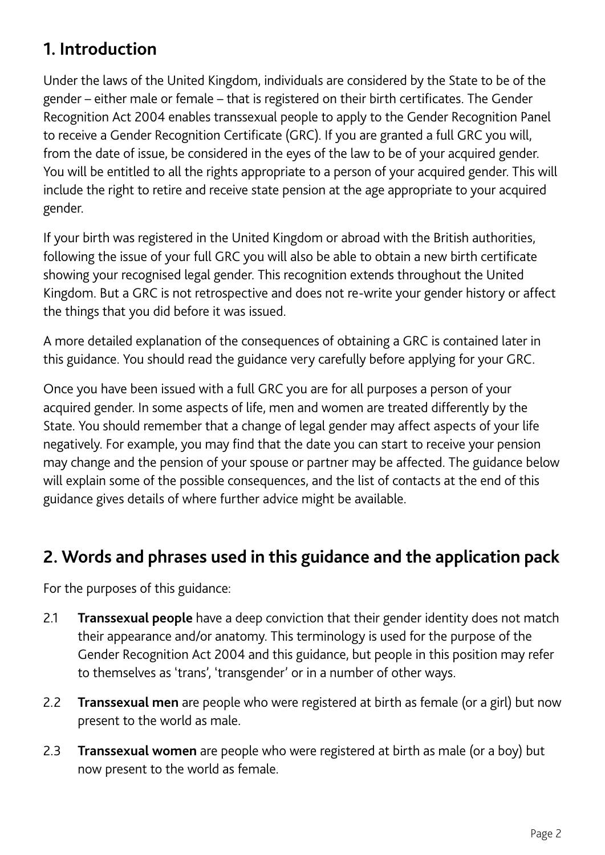# **1. Introduction**

Under the laws of the United Kingdom, individuals are considered by the State to be of the gender – either male or female – that is registered on their birth certificates. The Gender Recognition Act 2004 enables transsexual people to apply to the Gender Recognition Panel to receive a Gender Recognition Certificate (GRC). If you are granted a full GRC you will, from the date of issue, be considered in the eyes of the law to be of your acquired gender. You will be entitled to all the rights appropriate to a person of your acquired gender. This will include the right to retire and receive state pension at the age appropriate to your acquired gender.

If your birth was registered in the United Kingdom or abroad with the British authorities, following the issue of your full GRC you will also be able to obtain a new birth certificate showing your recognised legal gender. This recognition extends throughout the United Kingdom. But a GRC is not retrospective and does not re-write your gender history or affect the things that you did before it was issued.

A more detailed explanation of the consequences of obtaining a GRC is contained later in this guidance. You should read the guidance very carefully before applying for your GRC.

Once you have been issued with a full GRC you are for all purposes a person of your acquired gender. In some aspects of life, men and women are treated differently by the State. You should remember that a change of legal gender may affect aspects of your life negatively. For example, you may find that the date you can start to receive your pension may change and the pension of your spouse or partner may be affected. The guidance below will explain some of the possible consequences, and the list of contacts at the end of this guidance gives details of where further advice might be available.

# **2. Words and phrases used in this guidance and the application pack**

For the purposes of this guidance:

- 2.1 **Transsexual people** have a deep conviction that their gender identity does not match their appearance and/or anatomy. This terminology is used for the purpose of the Gender Recognition Act 2004 and this guidance, but people in this position may refer to themselves as 'trans', 'transgender' or in a number of other ways.
- 2.2 **Transsexual men** are people who were registered at birth as female (or a girl) but now present to the world as male.
- 2.3 **Transsexual women** are people who were registered at birth as male (or a boy) but now present to the world as female.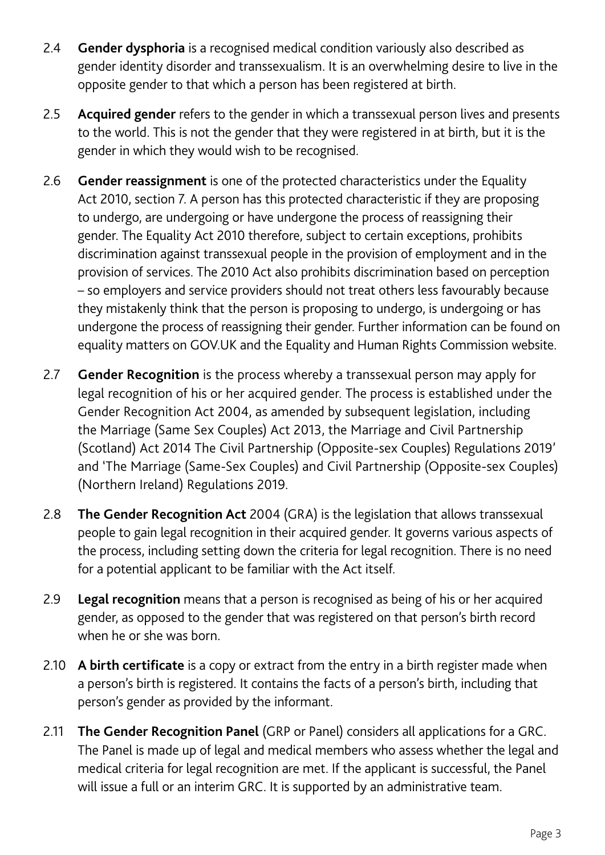- 2.4 **Gender dysphoria** is a recognised medical condition variously also described as gender identity disorder and transsexualism. It is an overwhelming desire to live in the opposite gender to that which a person has been registered at birth.
- 2.5 **Acquired gender** refers to the gender in which a transsexual person lives and presents to the world. This is not the gender that they were registered in at birth, but it is the gender in which they would wish to be recognised.
- 2.6 **Gender reassignment** is one of the protected characteristics under the Equality Act 2010, section 7. A person has this protected characteristic if they are proposing to undergo, are undergoing or have undergone the process of reassigning their gender. The Equality Act 2010 therefore, subject to certain exceptions, prohibits discrimination against transsexual people in the provision of employment and in the provision of services. The 2010 Act also prohibits discrimination based on perception – so employers and service providers should not treat others less favourably because they mistakenly think that the person is proposing to undergo, is undergoing or has undergone the process of reassigning their gender. Further information can be found on equality matters on GOV.UK and the Equality and Human Rights Commission website.
- 2.7 **Gender Recognition** is the process whereby a transsexual person may apply for legal recognition of his or her acquired gender. The process is established under the Gender Recognition Act 2004, as amended by subsequent legislation, including the Marriage (Same Sex Couples) Act 2013, the Marriage and Civil Partnership (Scotland) Act 2014 The Civil Partnership (Opposite-sex Couples) Regulations 2019' and 'The Marriage (Same-Sex Couples) and Civil Partnership (Opposite-sex Couples) (Northern Ireland) Regulations 2019.
- 2.8 **The Gender Recognition Act** 2004 (GRA) is the legislation that allows transsexual people to gain legal recognition in their acquired gender. It governs various aspects of the process, including setting down the criteria for legal recognition. There is no need for a potential applicant to be familiar with the Act itself.
- 2.9 **Legal recognition** means that a person is recognised as being of his or her acquired gender, as opposed to the gender that was registered on that person's birth record when he or she was born.
- 2.10 **A birth certificate** is a copy or extract from the entry in a birth register made when a person's birth is registered. It contains the facts of a person's birth, including that person's gender as provided by the informant.
- 2.11 **The Gender Recognition Panel** (GRP or Panel) considers all applications for a GRC. The Panel is made up of legal and medical members who assess whether the legal and medical criteria for legal recognition are met. If the applicant is successful, the Panel will issue a full or an interim GRC. It is supported by an administrative team.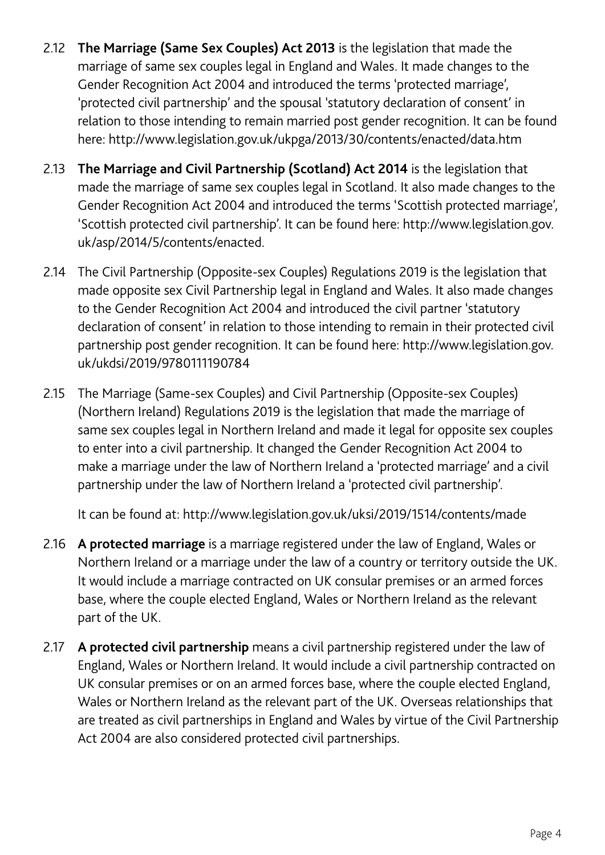- 2.12 **The Marriage (Same Sex Couples) Act 2013** is the legislation that made the marriage of same sex couples legal in England and Wales. It made changes to the Gender Recognition Act 2004 and introduced the terms 'protected marriage', 'protected civil partnership' and the spousal 'statutory declaration of consent' in relation to those intending to remain married post gender recognition. It can be found here: http://www.legislation.gov.uk/ukpga/2013/30/contents/enacted/data.htm
- 2.13 **The Marriage and Civil Partnership (Scotland) Act 2014** is the legislation that made the marriage of same sex couples legal in Scotland. It also made changes to the Gender Recognition Act 2004 and introduced the terms 'Scottish protected marriage', 'Scottish protected civil partnership'. It can be found here: http://www.legislation.gov. uk/asp/2014/5/contents/enacted.
- 2.14 The Civil Partnership (Opposite-sex Couples) Regulations 2019 is the legislation that made opposite sex Civil Partnership legal in England and Wales. It also made changes to the Gender Recognition Act 2004 and introduced the civil partner 'statutory declaration of consent' in relation to those intending to remain in their protected civil partnership post gender recognition. It can be found here: http://www.legislation.gov. uk/ukdsi/2019/9780111190784
- 2.15 The Marriage (Same-sex Couples) and Civil Partnership (Opposite-sex Couples) (Northern Ireland) Regulations 2019 is the legislation that made the marriage of same sex couples legal in Northern Ireland and made it legal for opposite sex couples to enter into a civil partnership. It changed the Gender Recognition Act 2004 to make a marriage under the law of Northern Ireland a 'protected marriage' and a civil partnership under the law of Northern Ireland a 'protected civil partnership'.

It can be found at: http://www.legislation.gov.uk/uksi/2019/1514/contents/made

- 2.16 **A protected marriage** is a marriage registered under the law of England, Wales or Northern Ireland or a marriage under the law of a country or territory outside the UK. It would include a marriage contracted on UK consular premises or an armed forces base, where the couple elected England, Wales or Northern Ireland as the relevant part of the UK.
- 2.17 **A protected civil partnership** means a civil partnership registered under the law of England, Wales or Northern Ireland. It would include a civil partnership contracted on UK consular premises or on an armed forces base, where the couple elected England, Wales or Northern Ireland as the relevant part of the UK. Overseas relationships that are treated as civil partnerships in England and Wales by virtue of the Civil Partnership Act 2004 are also considered protected civil partnerships.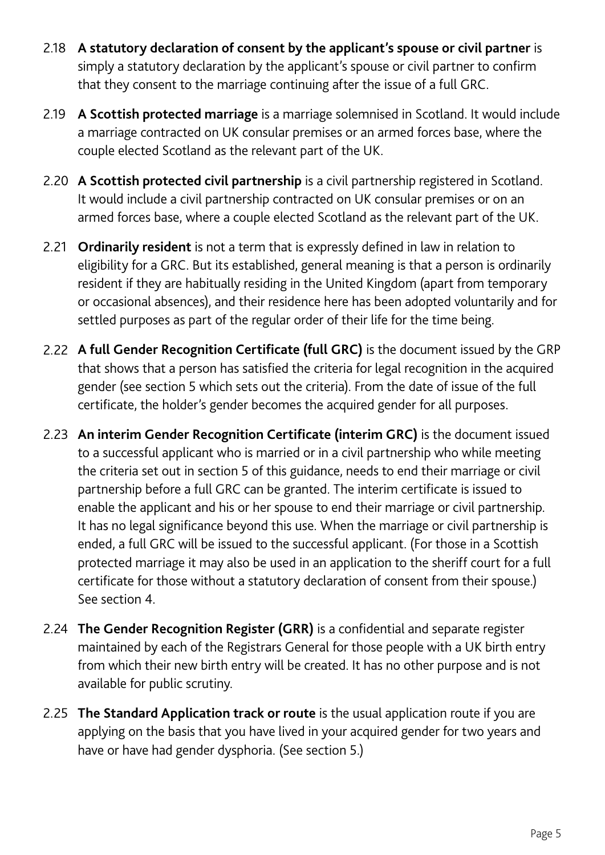- 2.18 **A statutory declaration of consent by the applicant's spouse or civil partner** is simply a statutory declaration by the applicant's spouse or civil partner to confirm that they consent to the marriage continuing after the issue of a full GRC.
- 2.19 **A Scottish protected marriage** is a marriage solemnised in Scotland. It would include a marriage contracted on UK consular premises or an armed forces base, where the couple elected Scotland as the relevant part of the UK.
- 2.20 **A Scottish protected civil partnership** is a civil partnership registered in Scotland. It would include a civil partnership contracted on UK consular premises or on an armed forces base, where a couple elected Scotland as the relevant part of the UK.
- 2.21 **Ordinarily resident** is not a term that is expressly defined in law in relation to eligibility for a GRC. But its established, general meaning is that a person is ordinarily resident if they are habitually residing in the United Kingdom (apart from temporary or occasional absences), and their residence here has been adopted voluntarily and for settled purposes as part of the regular order of their life for the time being.
- 2.22 **A full Gender Recognition Certificate (full GRC)** is the document issued by the GRP that shows that a person has satisfied the criteria for legal recognition in the acquired gender (see section 5 which sets out the criteria). From the date of issue of the full certificate, the holder's gender becomes the acquired gender for all purposes.
- 2.23 **An interim Gender Recognition Certificate (interim GRC)** is the document issued to a successful applicant who is married or in a civil partnership who while meeting the criteria set out in section 5 of this guidance, needs to end their marriage or civil partnership before a full GRC can be granted. The interim certificate is issued to enable the applicant and his or her spouse to end their marriage or civil partnership. It has no legal significance beyond this use. When the marriage or civil partnership is ended, a full GRC will be issued to the successful applicant. (For those in a Scottish protected marriage it may also be used in an application to the sheriff court for a full certificate for those without a statutory declaration of consent from their spouse.) See section 4.
- 2.24 **The Gender Recognition Register (GRR)** is a confidential and separate register maintained by each of the Registrars General for those people with a UK birth entry from which their new birth entry will be created. It has no other purpose and is not available for public scrutiny.
- 2.25 **The Standard Application track or route** is the usual application route if you are applying on the basis that you have lived in your acquired gender for two years and have or have had gender dysphoria. (See section 5.)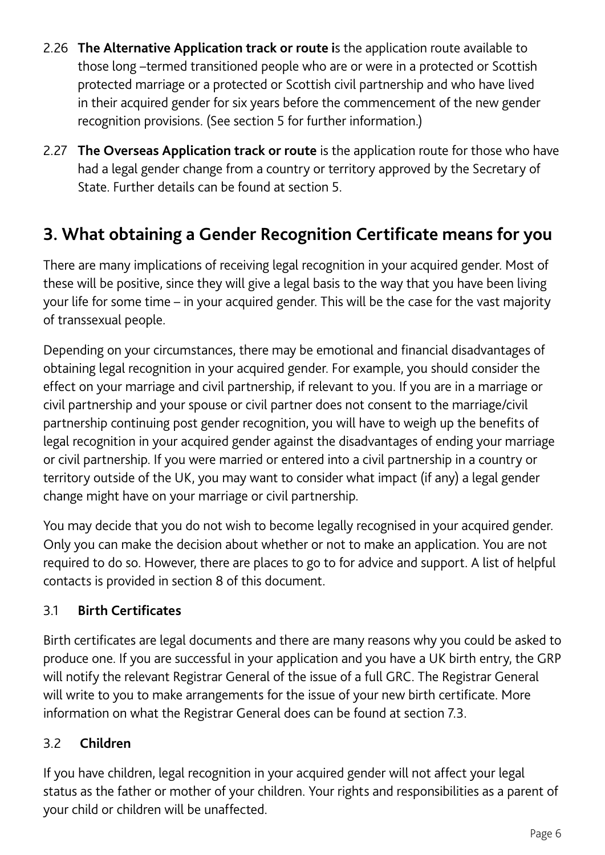- 2.26 **The Alternative Application track or route i**s the application route available to those long –termed transitioned people who are or were in a protected or Scottish protected marriage or a protected or Scottish civil partnership and who have lived in their acquired gender for six years before the commencement of the new gender recognition provisions. (See section 5 for further information.)
- 2.27 **The Overseas Application track or route** is the application route for those who have had a legal gender change from a country or territory approved by the Secretary of State. Further details can be found at section 5.

# **3. What obtaining a Gender Recognition Certificate means for you**

There are many implications of receiving legal recognition in your acquired gender. Most of these will be positive, since they will give a legal basis to the way that you have been living your life for some time – in your acquired gender. This will be the case for the vast majority of transsexual people.

Depending on your circumstances, there may be emotional and financial disadvantages of obtaining legal recognition in your acquired gender. For example, you should consider the effect on your marriage and civil partnership, if relevant to you. If you are in a marriage or civil partnership and your spouse or civil partner does not consent to the marriage/civil partnership continuing post gender recognition, you will have to weigh up the benefits of legal recognition in your acquired gender against the disadvantages of ending your marriage or civil partnership. If you were married or entered into a civil partnership in a country or territory outside of the UK, you may want to consider what impact (if any) a legal gender change might have on your marriage or civil partnership.

You may decide that you do not wish to become legally recognised in your acquired gender. Only you can make the decision about whether or not to make an application. You are not required to do so. However, there are places to go to for advice and support. A list of helpful contacts is provided in section 8 of this document.

# 3.1 **Birth Certificates**

Birth certificates are legal documents and there are many reasons why you could be asked to produce one. If you are successful in your application and you have a UK birth entry, the GRP will notify the relevant Registrar General of the issue of a full GRC. The Registrar General will write to you to make arrangements for the issue of your new birth certificate. More information on what the Registrar General does can be found at section 7.3.

# 3.2 **Children**

If you have children, legal recognition in your acquired gender will not affect your legal status as the father or mother of your children. Your rights and responsibilities as a parent of your child or children will be unaffected.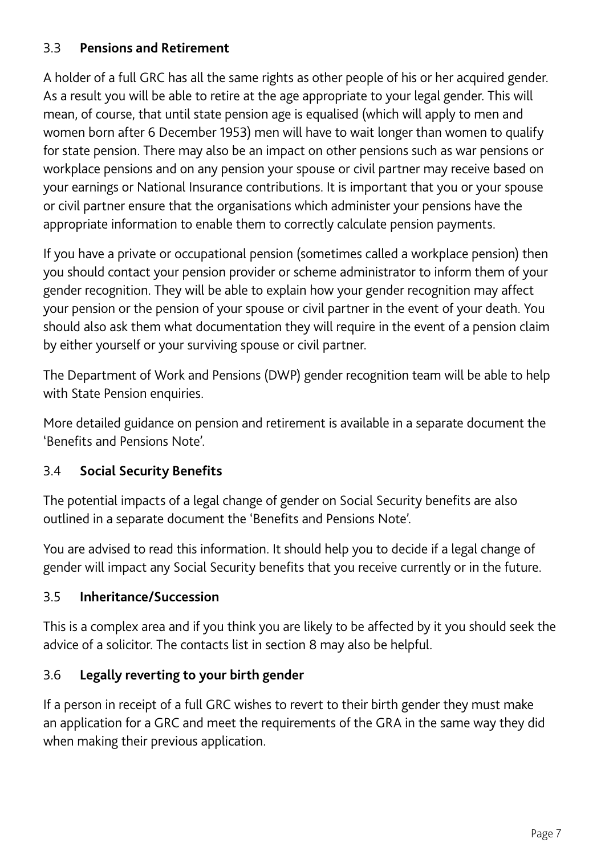### 3.3 **Pensions and Retirement**

A holder of a full GRC has all the same rights as other people of his or her acquired gender. As a result you will be able to retire at the age appropriate to your legal gender. This will mean, of course, that until state pension age is equalised (which will apply to men and women born after 6 December 1953) men will have to wait longer than women to qualify for state pension. There may also be an impact on other pensions such as war pensions or workplace pensions and on any pension your spouse or civil partner may receive based on your earnings or National Insurance contributions. It is important that you or your spouse or civil partner ensure that the organisations which administer your pensions have the appropriate information to enable them to correctly calculate pension payments.

If you have a private or occupational pension (sometimes called a workplace pension) then you should contact your pension provider or scheme administrator to inform them of your gender recognition. They will be able to explain how your gender recognition may affect your pension or the pension of your spouse or civil partner in the event of your death. You should also ask them what documentation they will require in the event of a pension claim by either yourself or your surviving spouse or civil partner.

The Department of Work and Pensions (DWP) gender recognition team will be able to help with State Pension enquiries.

More detailed guidance on pension and retirement is available in a separate document the 'Benefits and Pensions Note'.

### 3.4 **Social Security Benefits**

The potential impacts of a legal change of gender on Social Security benefits are also outlined in a separate document the 'Benefits and Pensions Note'.

You are advised to read this information. It should help you to decide if a legal change of gender will impact any Social Security benefits that you receive currently or in the future.

#### 3.5 **Inheritance/Succession**

This is a complex area and if you think you are likely to be affected by it you should seek the advice of a solicitor. The contacts list in section 8 may also be helpful.

### 3.6 **Legally reverting to your birth gender**

If a person in receipt of a full GRC wishes to revert to their birth gender they must make an application for a GRC and meet the requirements of the GRA in the same way they did when making their previous application.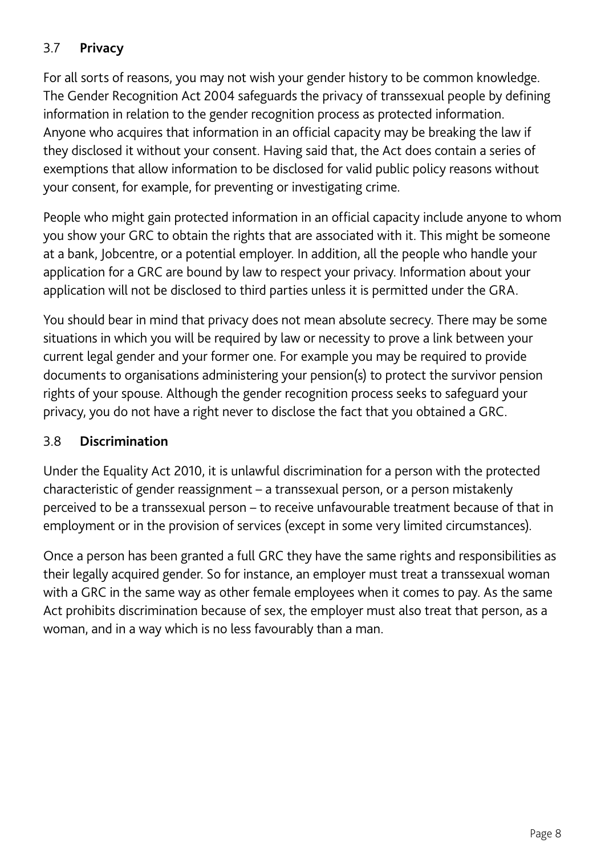### 3.7 **Privacy**

For all sorts of reasons, you may not wish your gender history to be common knowledge. The Gender Recognition Act 2004 safeguards the privacy of transsexual people by defining information in relation to the gender recognition process as protected information. Anyone who acquires that information in an official capacity may be breaking the law if they disclosed it without your consent. Having said that, the Act does contain a series of exemptions that allow information to be disclosed for valid public policy reasons without your consent, for example, for preventing or investigating crime.

People who might gain protected information in an official capacity include anyone to whom you show your GRC to obtain the rights that are associated with it. This might be someone at a bank, Jobcentre, or a potential employer. In addition, all the people who handle your application for a GRC are bound by law to respect your privacy. Information about your application will not be disclosed to third parties unless it is permitted under the GRA.

You should bear in mind that privacy does not mean absolute secrecy. There may be some situations in which you will be required by law or necessity to prove a link between your current legal gender and your former one. For example you may be required to provide documents to organisations administering your pension(s) to protect the survivor pension rights of your spouse. Although the gender recognition process seeks to safeguard your privacy, you do not have a right never to disclose the fact that you obtained a GRC.

#### 3.8 **Discrimination**

Under the Equality Act 2010, it is unlawful discrimination for a person with the protected characteristic of gender reassignment – a transsexual person, or a person mistakenly perceived to be a transsexual person – to receive unfavourable treatment because of that in employment or in the provision of services (except in some very limited circumstances).

Once a person has been granted a full GRC they have the same rights and responsibilities as their legally acquired gender. So for instance, an employer must treat a transsexual woman with a GRC in the same way as other female employees when it comes to pay. As the same Act prohibits discrimination because of sex, the employer must also treat that person, as a woman, and in a way which is no less favourably than a man.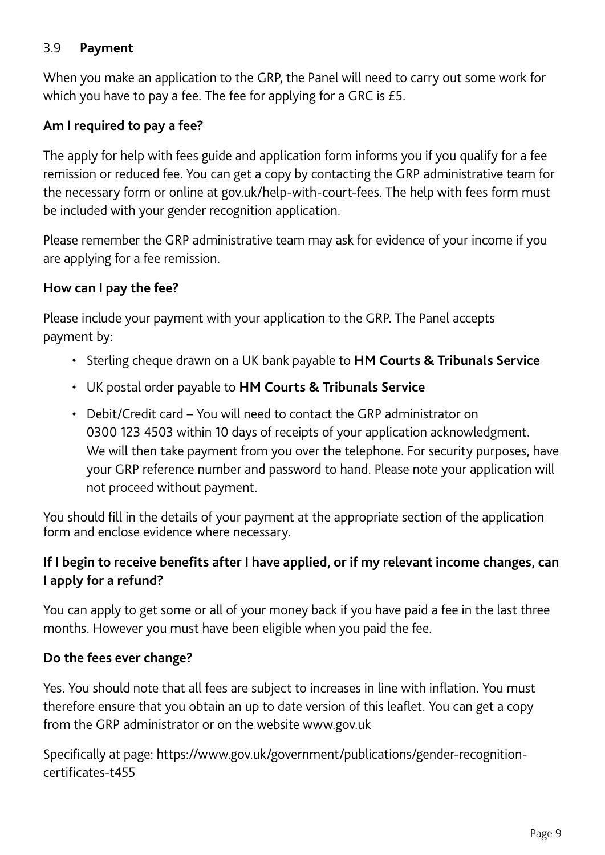### 3.9 **Payment**

When you make an application to the GRP, the Panel will need to carry out some work for which you have to pay a fee. The fee for applying for a GRC is £5.

#### **Am I required to pay a fee?**

The apply for help with fees guide and application form informs you if you qualify for a fee remission or reduced fee. You can get a copy by contacting the GRP administrative team for the necessary form or online at gov.uk/help-with-court-fees. The help with fees form must be included with your gender recognition application.

Please remember the GRP administrative team may ask for evidence of your income if you are applying for a fee remission.

#### **How can I pay the fee?**

Please include your payment with your application to the GRP. The Panel accepts payment by:

- Sterling cheque drawn on a UK bank payable to **HM Courts & Tribunals Service**
- UK postal order payable to **HM Courts & Tribunals Service**
- Debit/Credit card You will need to contact the GRP administrator on 0300 123 4503 within 10 days of receipts of your application acknowledgment. We will then take payment from you over the telephone. For security purposes, have your GRP reference number and password to hand. Please note your application will not proceed without payment.

You should fill in the details of your payment at the appropriate section of the application form and enclose evidence where necessary.

### **If I begin to receive benefits after I have applied, or if my relevant income changes, can I apply for a refund?**

You can apply to get some or all of your money back if you have paid a fee in the last three months. However you must have been eligible when you paid the fee.

#### **Do the fees ever change?**

Yes. You should note that all fees are subject to increases in line with inflation. You must therefore ensure that you obtain an up to date version of this leaflet. You can get a copy from the GRP administrator or on the website [www.gov.uk](http://www.justice.gov.uk)

Specifically at page: https://www.gov.uk/government/publications/gender-recognitioncertificates-t455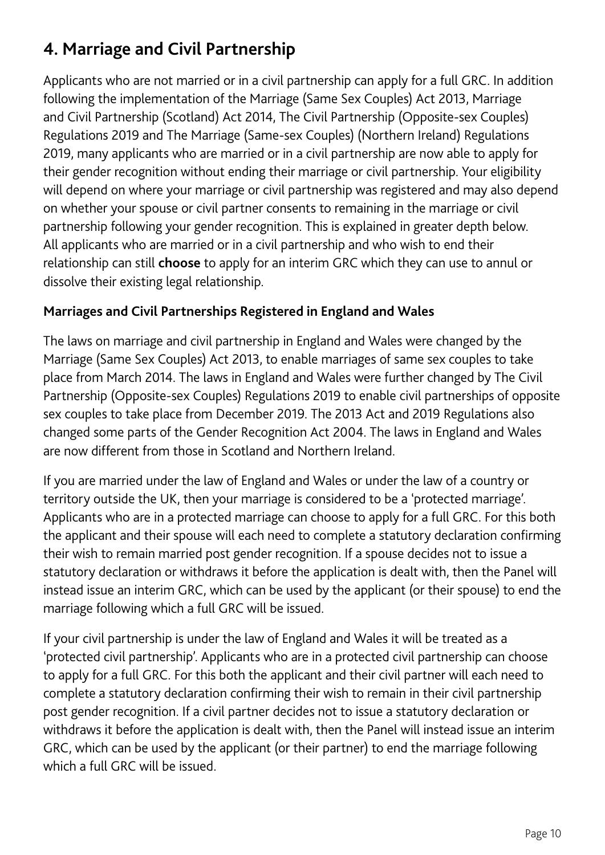# **4. Marriage and Civil Partnership**

Applicants who are not married or in a civil partnership can apply for a full GRC. In addition following the implementation of the Marriage (Same Sex Couples) Act 2013, Marriage and Civil Partnership (Scotland) Act 2014, The Civil Partnership (Opposite-sex Couples) Regulations 2019 and The Marriage (Same-sex Couples) (Northern Ireland) Regulations 2019, many applicants who are married or in a civil partnership are now able to apply for their gender recognition without ending their marriage or civil partnership. Your eligibility will depend on where your marriage or civil partnership was registered and may also depend on whether your spouse or civil partner consents to remaining in the marriage or civil partnership following your gender recognition. This is explained in greater depth below. All applicants who are married or in a civil partnership and who wish to end their relationship can still **choose** to apply for an interim GRC which they can use to annul or dissolve their existing legal relationship.

### **Marriages and Civil Partnerships Registered in England and Wales**

The laws on marriage and civil partnership in England and Wales were changed by the Marriage (Same Sex Couples) Act 2013, to enable marriages of same sex couples to take place from March 2014. The laws in England and Wales were further changed by The Civil Partnership (Opposite-sex Couples) Regulations 2019 to enable civil partnerships of opposite sex couples to take place from December 2019. The 2013 Act and 2019 Regulations also changed some parts of the Gender Recognition Act 2004. The laws in England and Wales are now different from those in Scotland and Northern Ireland.

If you are married under the law of England and Wales or under the law of a country or territory outside the UK, then your marriage is considered to be a 'protected marriage'. Applicants who are in a protected marriage can choose to apply for a full GRC. For this both the applicant and their spouse will each need to complete a statutory declaration confirming their wish to remain married post gender recognition. If a spouse decides not to issue a statutory declaration or withdraws it before the application is dealt with, then the Panel will instead issue an interim GRC, which can be used by the applicant (or their spouse) to end the marriage following which a full GRC will be issued.

If your civil partnership is under the law of England and Wales it will be treated as a 'protected civil partnership'. Applicants who are in a protected civil partnership can choose to apply for a full GRC. For this both the applicant and their civil partner will each need to complete a statutory declaration confirming their wish to remain in their civil partnership post gender recognition. If a civil partner decides not to issue a statutory declaration or withdraws it before the application is dealt with, then the Panel will instead issue an interim GRC, which can be used by the applicant (or their partner) to end the marriage following which a full GRC will be issued.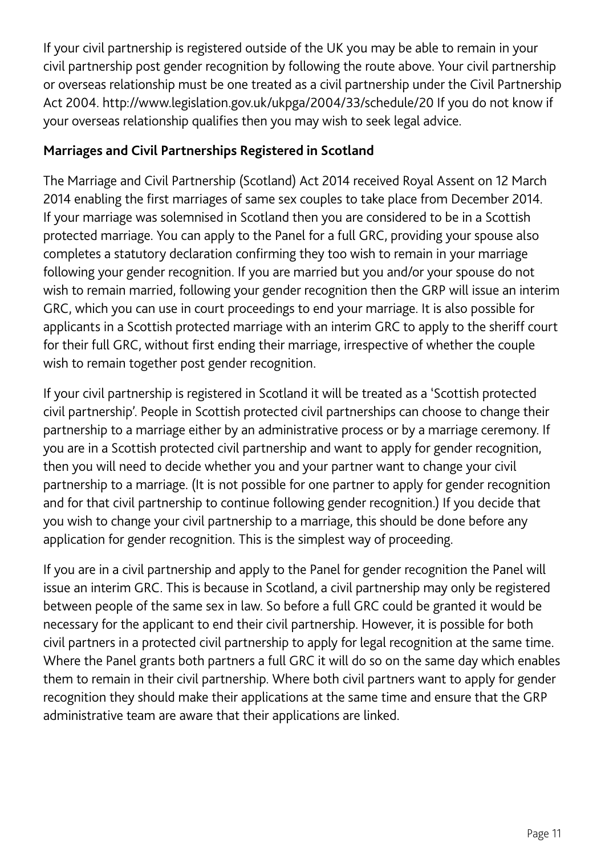If your civil partnership is registered outside of the UK you may be able to remain in your civil partnership post gender recognition by following the route above. Your civil partnership or overseas relationship must be one treated as a civil partnership under the Civil Partnership Act 2004. http://www.legislation.gov.uk/ukpga/2004/33/schedule/20 If you do not know if your overseas relationship qualifies then you may wish to seek legal advice.

### **Marriages and Civil Partnerships Registered in Scotland**

The Marriage and Civil Partnership (Scotland) Act 2014 received Royal Assent on 12 March 2014 enabling the first marriages of same sex couples to take place from December 2014. If your marriage was solemnised in Scotland then you are considered to be in a Scottish protected marriage. You can apply to the Panel for a full GRC, providing your spouse also completes a statutory declaration confirming they too wish to remain in your marriage following your gender recognition. If you are married but you and/or your spouse do not wish to remain married, following your gender recognition then the GRP will issue an interim GRC, which you can use in court proceedings to end your marriage. It is also possible for applicants in a Scottish protected marriage with an interim GRC to apply to the sheriff court for their full GRC, without first ending their marriage, irrespective of whether the couple wish to remain together post gender recognition.

If your civil partnership is registered in Scotland it will be treated as a 'Scottish protected civil partnership'. People in Scottish protected civil partnerships can choose to change their partnership to a marriage either by an administrative process or by a marriage ceremony. If you are in a Scottish protected civil partnership and want to apply for gender recognition, then you will need to decide whether you and your partner want to change your civil partnership to a marriage. (It is not possible for one partner to apply for gender recognition and for that civil partnership to continue following gender recognition.) If you decide that you wish to change your civil partnership to a marriage, this should be done before any application for gender recognition. This is the simplest way of proceeding.

If you are in a civil partnership and apply to the Panel for gender recognition the Panel will issue an interim GRC. This is because in Scotland, a civil partnership may only be registered between people of the same sex in law. So before a full GRC could be granted it would be necessary for the applicant to end their civil partnership. However, it is possible for both civil partners in a protected civil partnership to apply for legal recognition at the same time. Where the Panel grants both partners a full GRC it will do so on the same day which enables them to remain in their civil partnership. Where both civil partners want to apply for gender recognition they should make their applications at the same time and ensure that the GRP administrative team are aware that their applications are linked.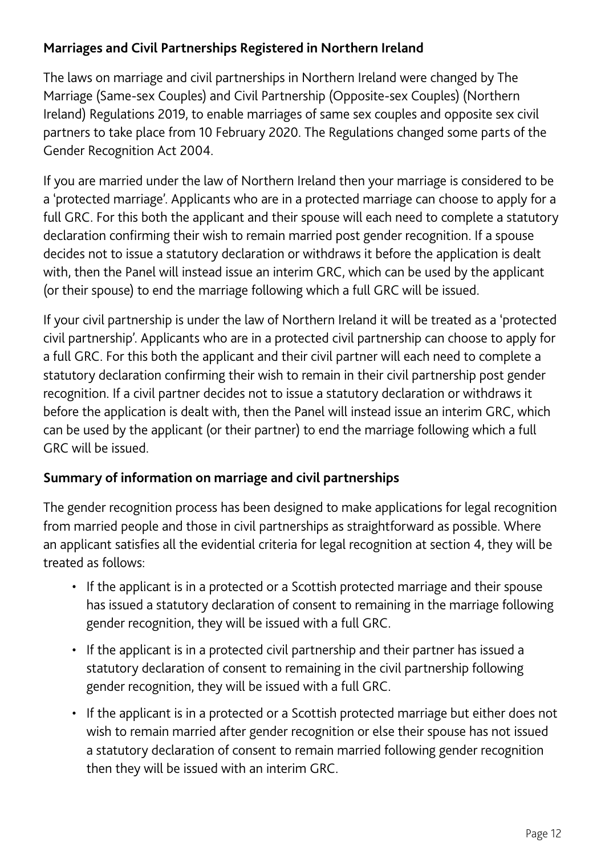### **Marriages and Civil Partnerships Registered in Northern Ireland**

The laws on marriage and civil partnerships in Northern Ireland were changed by The Marriage (Same-sex Couples) and Civil Partnership (Opposite-sex Couples) (Northern Ireland) Regulations 2019, to enable marriages of same sex couples and opposite sex civil partners to take place from 10 February 2020. The Regulations changed some parts of the Gender Recognition Act 2004.

If you are married under the law of Northern Ireland then your marriage is considered to be a 'protected marriage'. Applicants who are in a protected marriage can choose to apply for a full GRC. For this both the applicant and their spouse will each need to complete a statutory declaration confirming their wish to remain married post gender recognition. If a spouse decides not to issue a statutory declaration or withdraws it before the application is dealt with, then the Panel will instead issue an interim GRC, which can be used by the applicant (or their spouse) to end the marriage following which a full GRC will be issued.

If your civil partnership is under the law of Northern Ireland it will be treated as a 'protected civil partnership'. Applicants who are in a protected civil partnership can choose to apply for a full GRC. For this both the applicant and their civil partner will each need to complete a statutory declaration confirming their wish to remain in their civil partnership post gender recognition. If a civil partner decides not to issue a statutory declaration or withdraws it before the application is dealt with, then the Panel will instead issue an interim GRC, which can be used by the applicant (or their partner) to end the marriage following which a full GRC will be issued.

### **Summary of information on marriage and civil partnerships**

The gender recognition process has been designed to make applications for legal recognition from married people and those in civil partnerships as straightforward as possible. Where an applicant satisfies all the evidential criteria for legal recognition at section 4, they will be treated as follows:

- If the applicant is in a protected or a Scottish protected marriage and their spouse has issued a statutory declaration of consent to remaining in the marriage following gender recognition, they will be issued with a full GRC.
- If the applicant is in a protected civil partnership and their partner has issued a statutory declaration of consent to remaining in the civil partnership following gender recognition, they will be issued with a full GRC.
- If the applicant is in a protected or a Scottish protected marriage but either does not wish to remain married after gender recognition or else their spouse has not issued a statutory declaration of consent to remain married following gender recognition then they will be issued with an interim GRC.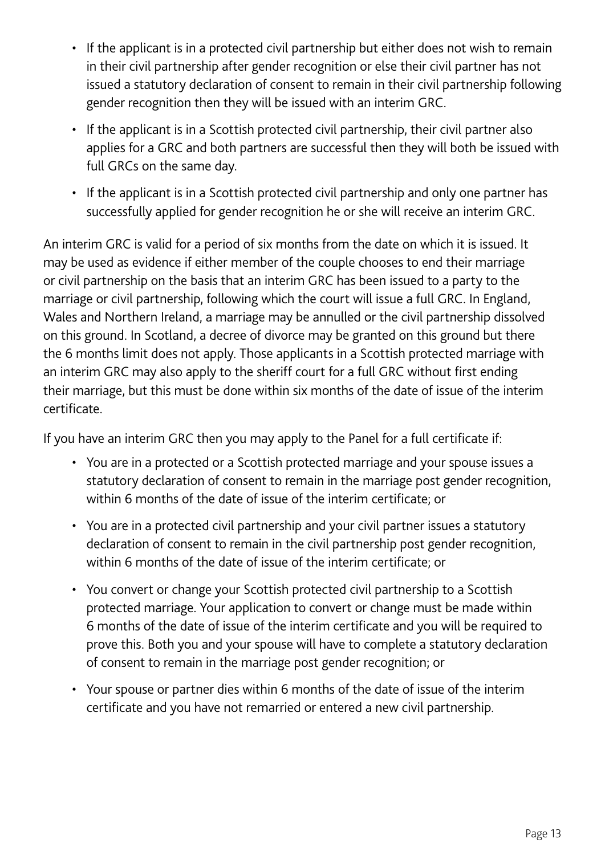- If the applicant is in a protected civil partnership but either does not wish to remain in their civil partnership after gender recognition or else their civil partner has not issued a statutory declaration of consent to remain in their civil partnership following gender recognition then they will be issued with an interim GRC.
- If the applicant is in a Scottish protected civil partnership, their civil partner also applies for a GRC and both partners are successful then they will both be issued with full GRCs on the same day.
- If the applicant is in a Scottish protected civil partnership and only one partner has successfully applied for gender recognition he or she will receive an interim GRC.

An interim GRC is valid for a period of six months from the date on which it is issued. It may be used as evidence if either member of the couple chooses to end their marriage or civil partnership on the basis that an interim GRC has been issued to a party to the marriage or civil partnership, following which the court will issue a full GRC. In England, Wales and Northern Ireland, a marriage may be annulled or the civil partnership dissolved on this ground. In Scotland, a decree of divorce may be granted on this ground but there the 6 months limit does not apply. Those applicants in a Scottish protected marriage with an interim GRC may also apply to the sheriff court for a full GRC without first ending their marriage, but this must be done within six months of the date of issue of the interim certificate.

If you have an interim GRC then you may apply to the Panel for a full certificate if:

- You are in a protected or a Scottish protected marriage and your spouse issues a statutory declaration of consent to remain in the marriage post gender recognition, within 6 months of the date of issue of the interim certificate; or
- You are in a protected civil partnership and your civil partner issues a statutory declaration of consent to remain in the civil partnership post gender recognition, within 6 months of the date of issue of the interim certificate; or
- You convert or change your Scottish protected civil partnership to a Scottish protected marriage. Your application to convert or change must be made within 6 months of the date of issue of the interim certificate and you will be required to prove this. Both you and your spouse will have to complete a statutory declaration of consent to remain in the marriage post gender recognition; or
- Your spouse or partner dies within 6 months of the date of issue of the interim certificate and you have not remarried or entered a new civil partnership.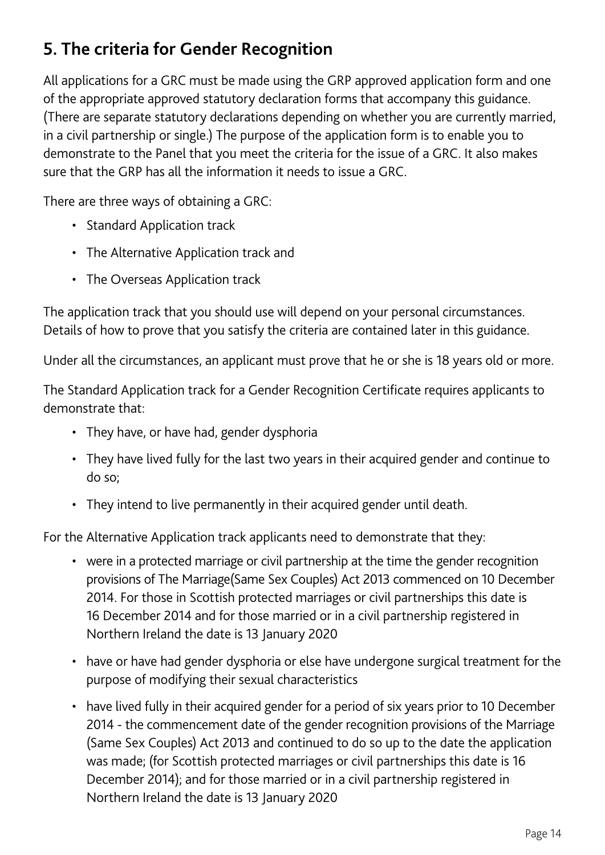# **5. The criteria for Gender Recognition**

All applications for a GRC must be made using the GRP approved application form and one of the appropriate approved statutory declaration forms that accompany this guidance. (There are separate statutory declarations depending on whether you are currently married, in a civil partnership or single.) The purpose of the application form is to enable you to demonstrate to the Panel that you meet the criteria for the issue of a GRC. It also makes sure that the GRP has all the information it needs to issue a GRC.

There are three ways of obtaining a GRC:

- Standard Application track
- The Alternative Application track and
- The Overseas Application track

The application track that you should use will depend on your personal circumstances. Details of how to prove that you satisfy the criteria are contained later in this guidance.

Under all the circumstances, an applicant must prove that he or she is 18 years old or more.

The Standard Application track for a Gender Recognition Certificate requires applicants to demonstrate that:

- They have, or have had, gender dysphoria
- They have lived fully for the last two years in their acquired gender and continue to do so;
- They intend to live permanently in their acquired gender until death.

For the Alternative Application track applicants need to demonstrate that they:

- were in a protected marriage or civil partnership at the time the gender recognition provisions of The Marriage(Same Sex Couples) Act 2013 commenced on 10 December 2014. For those in Scottish protected marriages or civil partnerships this date is 16 December 2014 and for those married or in a civil partnership registered in Northern Ireland the date is 13 January 2020
- have or have had gender dysphoria or else have undergone surgical treatment for the purpose of modifying their sexual characteristics
- have lived fully in their acquired gender for a period of six years prior to 10 December 2014 - the commencement date of the gender recognition provisions of the Marriage (Same Sex Couples) Act 2013 and continued to do so up to the date the application was made; (for Scottish protected marriages or civil partnerships this date is 16 December 2014); and for those married or in a civil partnership registered in Northern Ireland the date is 13 January 2020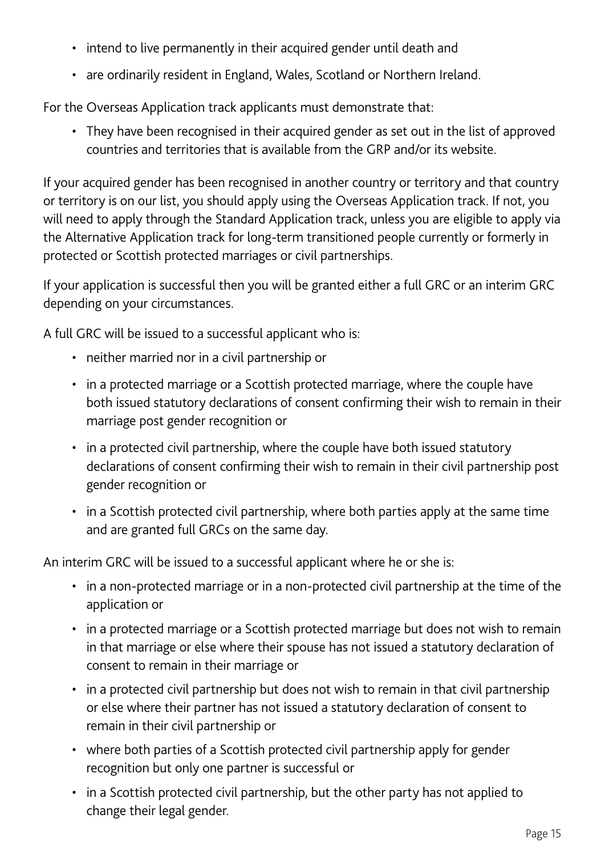- intend to live permanently in their acquired gender until death and
- are ordinarily resident in England, Wales, Scotland or Northern Ireland.

For the Overseas Application track applicants must demonstrate that:

• They have been recognised in their acquired gender as set out in the list of approved countries and territories that is available from the GRP and/or its website.

If your acquired gender has been recognised in another country or territory and that country or territory is on our list, you should apply using the Overseas Application track. If not, you will need to apply through the Standard Application track, unless you are eligible to apply via the Alternative Application track for long-term transitioned people currently or formerly in protected or Scottish protected marriages or civil partnerships.

If your application is successful then you will be granted either a full GRC or an interim GRC depending on your circumstances.

A full GRC will be issued to a successful applicant who is:

- neither married nor in a civil partnership or
- in a protected marriage or a Scottish protected marriage, where the couple have both issued statutory declarations of consent confirming their wish to remain in their marriage post gender recognition or
- in a protected civil partnership, where the couple have both issued statutory declarations of consent confirming their wish to remain in their civil partnership post gender recognition or
- in a Scottish protected civil partnership, where both parties apply at the same time and are granted full GRCs on the same day.

An interim GRC will be issued to a successful applicant where he or she is:

- in a non-protected marriage or in a non-protected civil partnership at the time of the application or
- in a protected marriage or a Scottish protected marriage but does not wish to remain in that marriage or else where their spouse has not issued a statutory declaration of consent to remain in their marriage or
- in a protected civil partnership but does not wish to remain in that civil partnership or else where their partner has not issued a statutory declaration of consent to remain in their civil partnership or
- where both parties of a Scottish protected civil partnership apply for gender recognition but only one partner is successful or
- in a Scottish protected civil partnership, but the other party has not applied to change their legal gender.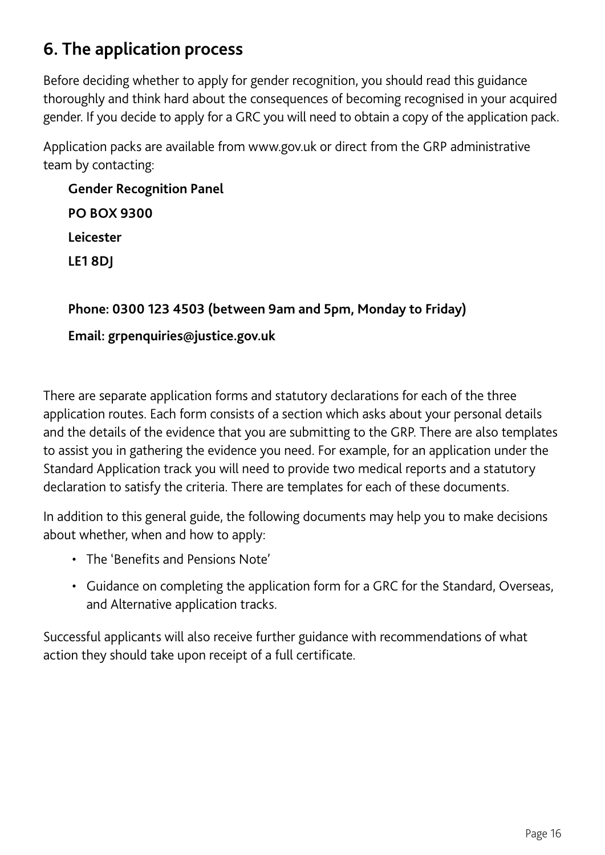# **6. The application process**

Before deciding whether to apply for gender recognition, you should read this guidance thoroughly and think hard about the consequences of becoming recognised in your acquired gender. If you decide to apply for a GRC you will need to obtain a copy of the application pack.

Application packs are available from www.gov.uk or direct from the GRP administrative team by contacting:

**Gender Recognition Panel PO BOX 9300 Leicester LE1 8DJ**

### **Phone: 0300 123 4503 (between 9am and 5pm, Monday to Friday)**

**Email: grpenquiries@justice.gov.uk**

There are separate application forms and statutory declarations for each of the three application routes. Each form consists of a section which asks about your personal details and the details of the evidence that you are submitting to the GRP. There are also templates to assist you in gathering the evidence you need. For example, for an application under the Standard Application track you will need to provide two medical reports and a statutory declaration to satisfy the criteria. There are templates for each of these documents.

In addition to this general guide, the following documents may help you to make decisions about whether, when and how to apply:

- The 'Benefits and Pensions Note'
- Guidance on completing the application form for a GRC for the Standard, Overseas, and Alternative application tracks.

Successful applicants will also receive further guidance with recommendations of what action they should take upon receipt of a full certificate.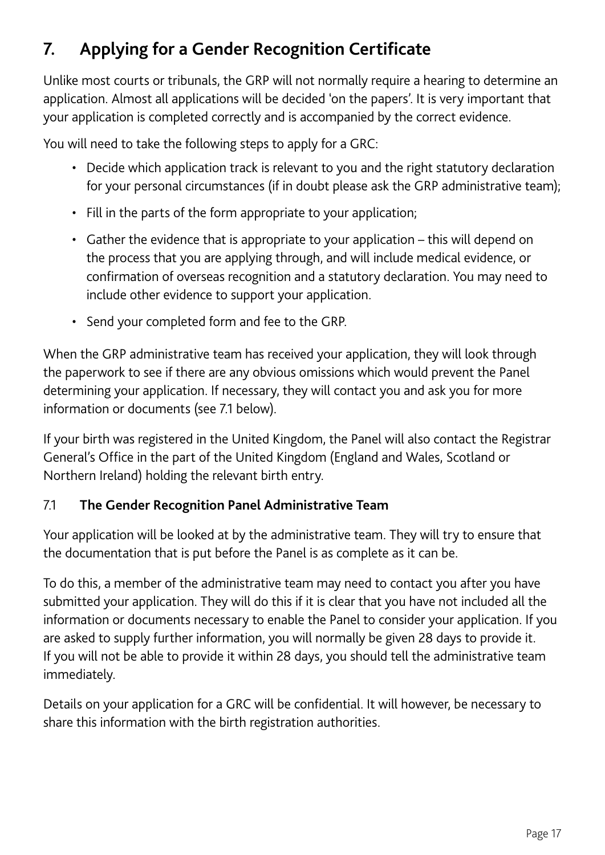# **7. Applying for a Gender Recognition Certificate**

Unlike most courts or tribunals, the GRP will not normally require a hearing to determine an application. Almost all applications will be decided 'on the papers'. It is very important that your application is completed correctly and is accompanied by the correct evidence.

You will need to take the following steps to apply for a GRC:

- Decide which application track is relevant to you and the right statutory declaration for your personal circumstances (if in doubt please ask the GRP administrative team);
- Fill in the parts of the form appropriate to your application;
- Gather the evidence that is appropriate to your application this will depend on the process that you are applying through, and will include medical evidence, or confirmation of overseas recognition and a statutory declaration. You may need to include other evidence to support your application.
- Send your completed form and fee to the GRP.

When the GRP administrative team has received your application, they will look through the paperwork to see if there are any obvious omissions which would prevent the Panel determining your application. If necessary, they will contact you and ask you for more information or documents (see 7.1 below).

If your birth was registered in the United Kingdom, the Panel will also contact the Registrar General's Office in the part of the United Kingdom (England and Wales, Scotland or Northern Ireland) holding the relevant birth entry.

### 7.1 **The Gender Recognition Panel Administrative Team**

Your application will be looked at by the administrative team. They will try to ensure that the documentation that is put before the Panel is as complete as it can be.

To do this, a member of the administrative team may need to contact you after you have submitted your application. They will do this if it is clear that you have not included all the information or documents necessary to enable the Panel to consider your application. If you are asked to supply further information, you will normally be given 28 days to provide it. If you will not be able to provide it within 28 days, you should tell the administrative team immediately.

Details on your application for a GRC will be confidential. It will however, be necessary to share this information with the birth registration authorities.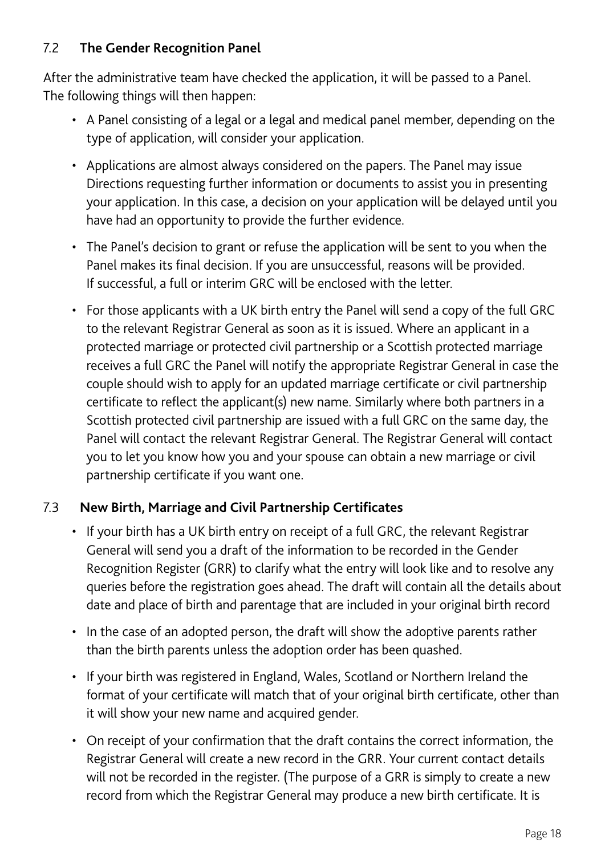### 7.2 **The Gender Recognition Panel**

After the administrative team have checked the application, it will be passed to a Panel. The following things will then happen:

- A Panel consisting of a legal or a legal and medical panel member, depending on the type of application, will consider your application.
- Applications are almost always considered on the papers. The Panel may issue Directions requesting further information or documents to assist you in presenting your application. In this case, a decision on your application will be delayed until you have had an opportunity to provide the further evidence.
- The Panel's decision to grant or refuse the application will be sent to you when the Panel makes its final decision. If you are unsuccessful, reasons will be provided. If successful, a full or interim GRC will be enclosed with the letter.
- For those applicants with a UK birth entry the Panel will send a copy of the full GRC to the relevant Registrar General as soon as it is issued. Where an applicant in a protected marriage or protected civil partnership or a Scottish protected marriage receives a full GRC the Panel will notify the appropriate Registrar General in case the couple should wish to apply for an updated marriage certificate or civil partnership certificate to reflect the applicant(s) new name. Similarly where both partners in a Scottish protected civil partnership are issued with a full GRC on the same day, the Panel will contact the relevant Registrar General. The Registrar General will contact you to let you know how you and your spouse can obtain a new marriage or civil partnership certificate if you want one.

### 7.3 **New Birth, Marriage and Civil Partnership Certificates**

- If your birth has a UK birth entry on receipt of a full GRC, the relevant Registrar General will send you a draft of the information to be recorded in the Gender Recognition Register (GRR) to clarify what the entry will look like and to resolve any queries before the registration goes ahead. The draft will contain all the details about date and place of birth and parentage that are included in your original birth record
- In the case of an adopted person, the draft will show the adoptive parents rather than the birth parents unless the adoption order has been quashed.
- If your birth was registered in England, Wales, Scotland or Northern Ireland the format of your certificate will match that of your original birth certificate, other than it will show your new name and acquired gender.
- On receipt of your confirmation that the draft contains the correct information, the Registrar General will create a new record in the GRR. Your current contact details will not be recorded in the register. (The purpose of a GRR is simply to create a new record from which the Registrar General may produce a new birth certificate. It is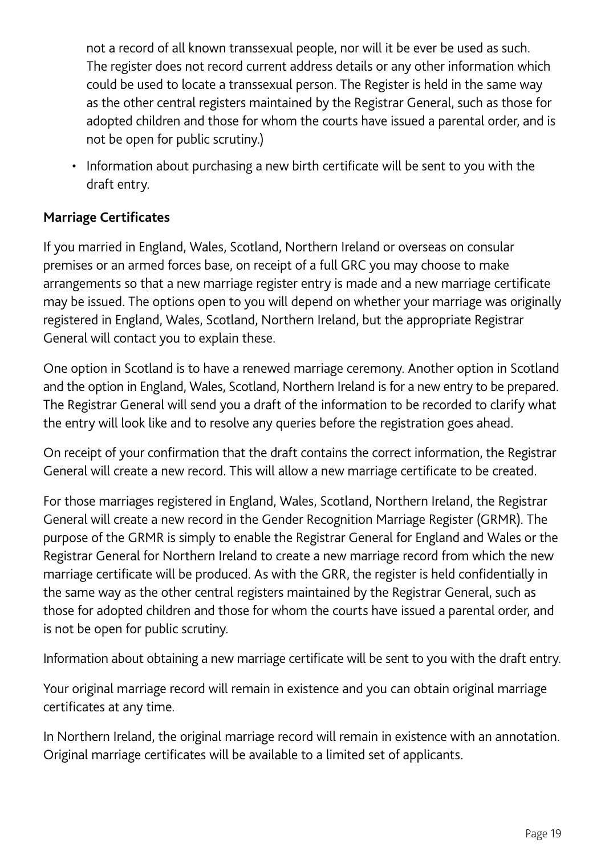not a record of all known transsexual people, nor will it be ever be used as such. The register does not record current address details or any other information which could be used to locate a transsexual person. The Register is held in the same way as the other central registers maintained by the Registrar General, such as those for adopted children and those for whom the courts have issued a parental order, and is not be open for public scrutiny.)

• Information about purchasing a new birth certificate will be sent to you with the draft entry.

### **Marriage Certificates**

If you married in England, Wales, Scotland, Northern Ireland or overseas on consular premises or an armed forces base, on receipt of a full GRC you may choose to make arrangements so that a new marriage register entry is made and a new marriage certificate may be issued. The options open to you will depend on whether your marriage was originally registered in England, Wales, Scotland, Northern Ireland, but the appropriate Registrar General will contact you to explain these.

One option in Scotland is to have a renewed marriage ceremony. Another option in Scotland and the option in England, Wales, Scotland, Northern Ireland is for a new entry to be prepared. The Registrar General will send you a draft of the information to be recorded to clarify what the entry will look like and to resolve any queries before the registration goes ahead.

On receipt of your confirmation that the draft contains the correct information, the Registrar General will create a new record. This will allow a new marriage certificate to be created.

For those marriages registered in England, Wales, Scotland, Northern Ireland, the Registrar General will create a new record in the Gender Recognition Marriage Register (GRMR). The purpose of the GRMR is simply to enable the Registrar General for England and Wales or the Registrar General for Northern Ireland to create a new marriage record from which the new marriage certificate will be produced. As with the GRR, the register is held confidentially in the same way as the other central registers maintained by the Registrar General, such as those for adopted children and those for whom the courts have issued a parental order, and is not be open for public scrutiny.

Information about obtaining a new marriage certificate will be sent to you with the draft entry.

Your original marriage record will remain in existence and you can obtain original marriage certificates at any time.

In Northern Ireland, the original marriage record will remain in existence with an annotation. Original marriage certificates will be available to a limited set of applicants.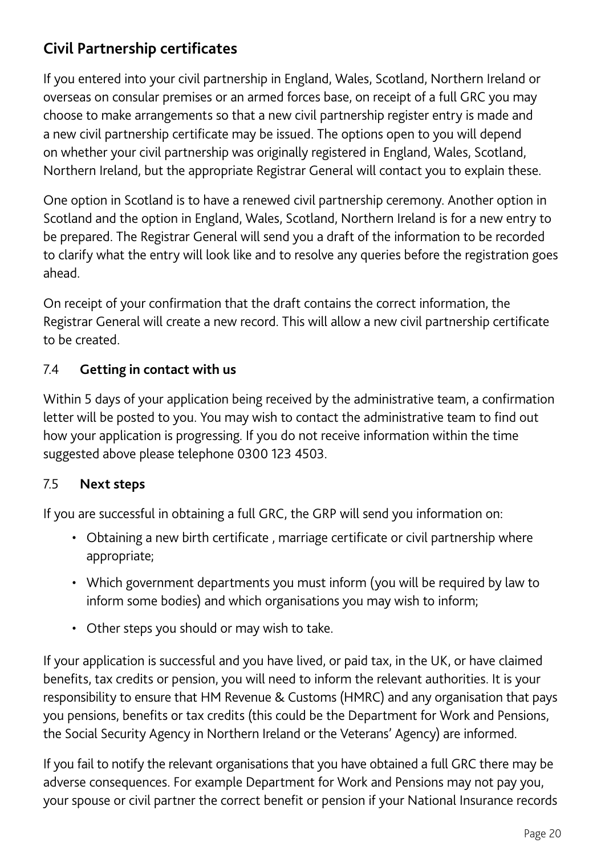# **Civil Partnership certificates**

If you entered into your civil partnership in England, Wales, Scotland, Northern Ireland or overseas on consular premises or an armed forces base, on receipt of a full GRC you may choose to make arrangements so that a new civil partnership register entry is made and a new civil partnership certificate may be issued. The options open to you will depend on whether your civil partnership was originally registered in England, Wales, Scotland, Northern Ireland, but the appropriate Registrar General will contact you to explain these.

One option in Scotland is to have a renewed civil partnership ceremony. Another option in Scotland and the option in England, Wales, Scotland, Northern Ireland is for a new entry to be prepared. The Registrar General will send you a draft of the information to be recorded to clarify what the entry will look like and to resolve any queries before the registration goes ahead.

On receipt of your confirmation that the draft contains the correct information, the Registrar General will create a new record. This will allow a new civil partnership certificate to be created.

### 7.4 **Getting in contact with us**

Within 5 days of your application being received by the administrative team, a confirmation letter will be posted to you. You may wish to contact the administrative team to find out how your application is progressing. If you do not receive information within the time suggested above please telephone 0300 123 4503.

### 7.5 **Next steps**

If you are successful in obtaining a full GRC, the GRP will send you information on:

- Obtaining a new birth certificate , marriage certificate or civil partnership where appropriate;
- Which government departments you must inform (you will be required by law to inform some bodies) and which organisations you may wish to inform;
- Other steps you should or may wish to take.

If your application is successful and you have lived, or paid tax, in the UK, or have claimed benefits, tax credits or pension, you will need to inform the relevant authorities. It is your responsibility to ensure that HM Revenue & Customs (HMRC) and any organisation that pays you pensions, benefits or tax credits (this could be the Department for Work and Pensions, the Social Security Agency in Northern Ireland or the Veterans' Agency) are informed.

If you fail to notify the relevant organisations that you have obtained a full GRC there may be adverse consequences. For example Department for Work and Pensions may not pay you, your spouse or civil partner the correct benefit or pension if your National Insurance records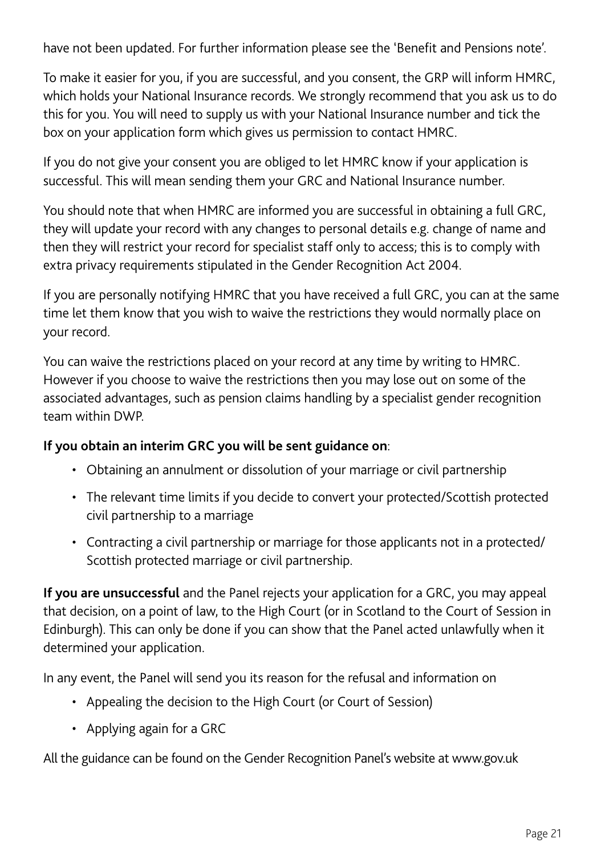have not been updated. For further information please see the 'Benefit and Pensions note'.

To make it easier for you, if you are successful, and you consent, the GRP will inform HMRC, which holds your National Insurance records. We strongly recommend that you ask us to do this for you. You will need to supply us with your National Insurance number and tick the box on your application form which gives us permission to contact HMRC.

If you do not give your consent you are obliged to let HMRC know if your application is successful. This will mean sending them your GRC and National Insurance number.

You should note that when HMRC are informed you are successful in obtaining a full GRC, they will update your record with any changes to personal details e.g. change of name and then they will restrict your record for specialist staff only to access; this is to comply with extra privacy requirements stipulated in the Gender Recognition Act 2004.

If you are personally notifying HMRC that you have received a full GRC, you can at the same time let them know that you wish to waive the restrictions they would normally place on your record.

You can waive the restrictions placed on your record at any time by writing to HMRC. However if you choose to waive the restrictions then you may lose out on some of the associated advantages, such as pension claims handling by a specialist gender recognition team within DWP.

#### **If you obtain an interim GRC you will be sent guidance on**:

- Obtaining an annulment or dissolution of your marriage or civil partnership
- The relevant time limits if you decide to convert your protected/Scottish protected civil partnership to a marriage
- Contracting a civil partnership or marriage for those applicants not in a protected/ Scottish protected marriage or civil partnership.

**If you are unsuccessful** and the Panel rejects your application for a GRC, you may appeal that decision, on a point of law, to the High Court (or in Scotland to the Court of Session in Edinburgh). This can only be done if you can show that the Panel acted unlawfully when it determined your application.

In any event, the Panel will send you its reason for the refusal and information on

- Appealing the decision to the High Court (or Court of Session)
- Applying again for a GRC

All the guidance can be found on the Gender Recognition Panel's website at www.gov.uk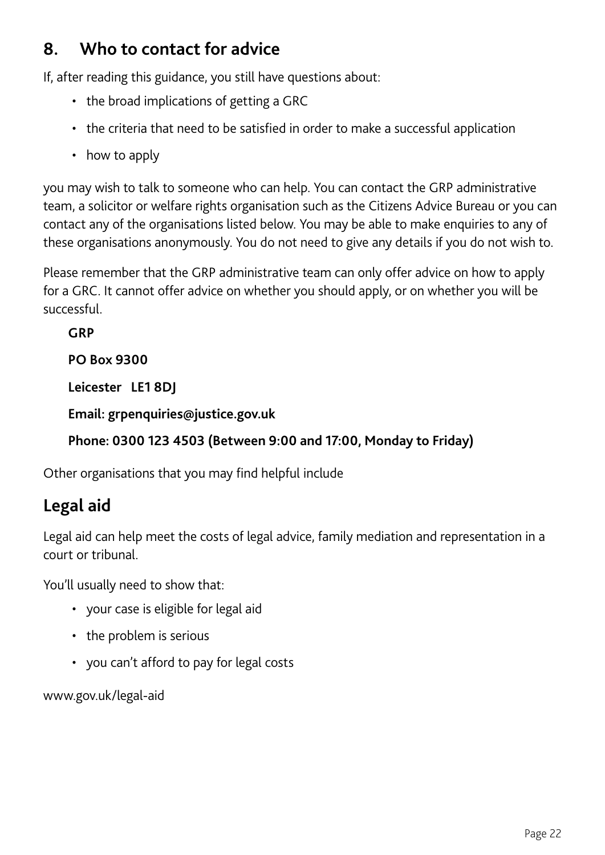# **8. Who to contact for advice**

If, after reading this guidance, you still have questions about:

- the broad implications of getting a GRC
- the criteria that need to be satisfied in order to make a successful application
- how to apply

you may wish to talk to someone who can help. You can contact the GRP administrative team, a solicitor or welfare rights organisation such as the Citizens Advice Bureau or you can contact any of the organisations listed below. You may be able to make enquiries to any of these organisations anonymously. You do not need to give any details if you do not wish to.

Please remember that the GRP administrative team can only offer advice on how to apply for a GRC. It cannot offer advice on whether you should apply, or on whether you will be successful.

**GRP PO Box 9300 Leicester LE1 8DJ Email: grpenquiries@justice.gov.uk Phone: 0300 123 4503 (Between 9:00 and 17:00, Monday to Friday)** 

Other organisations that you may find helpful include

# **Legal aid**

Legal aid can help meet the costs of legal advice, family mediation and representation in a court or tribunal.

You'll usually need to show that:

- your case is eligible for legal aid
- the problem is serious
- you can't afford to pay for legal costs

www.gov.uk/legal-aid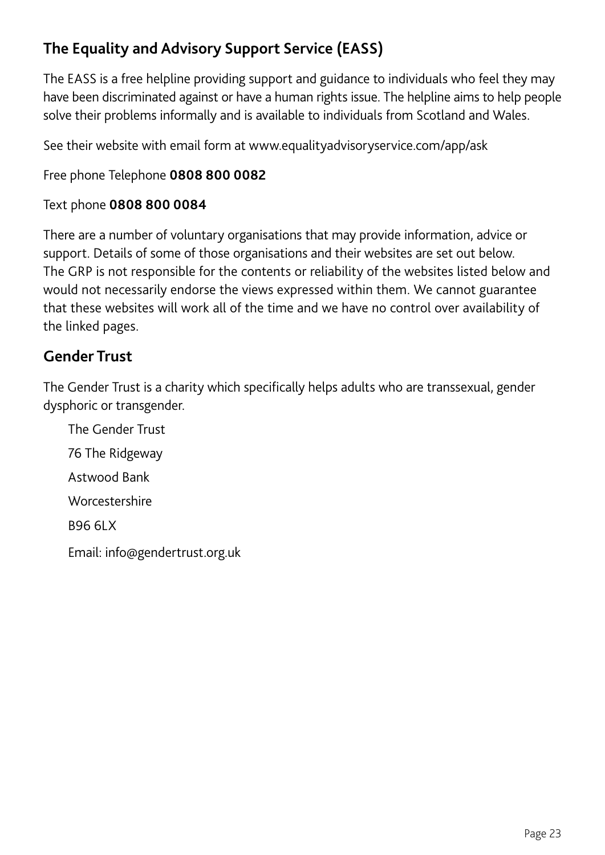# **The Equality and Advisory Support Service (EASS)**

The EASS is a free helpline providing support and guidance to individuals who feel they may have been discriminated against or have a human rights issue. The helpline aims to help people solve their problems informally and is available to individuals from Scotland and Wales.

See their website with email form at [www.equalityadvisoryservice.com/app/ask](http://www.equalityadvisoryservice.com/app/ask)

#### Free phone Telephone **0808 800 0082**

#### Text phone **0808 800 0084**

There are a number of voluntary organisations that may provide information, advice or support. Details of some of those organisations and their websites are set out below. The GRP is not responsible for the contents or reliability of the websites listed below and would not necessarily endorse the views expressed within them. We cannot guarantee that these websites will work all of the time and we have no control over availability of the linked pages.

### **Gender Trust**

The Gender Trust is a charity which specifically helps adults who are transsexual, gender dysphoric or transgender.

The Gender Trust 76 The Ridgeway Astwood Bank Worcestershire B96 6LX Email: info@gendertrust.org.uk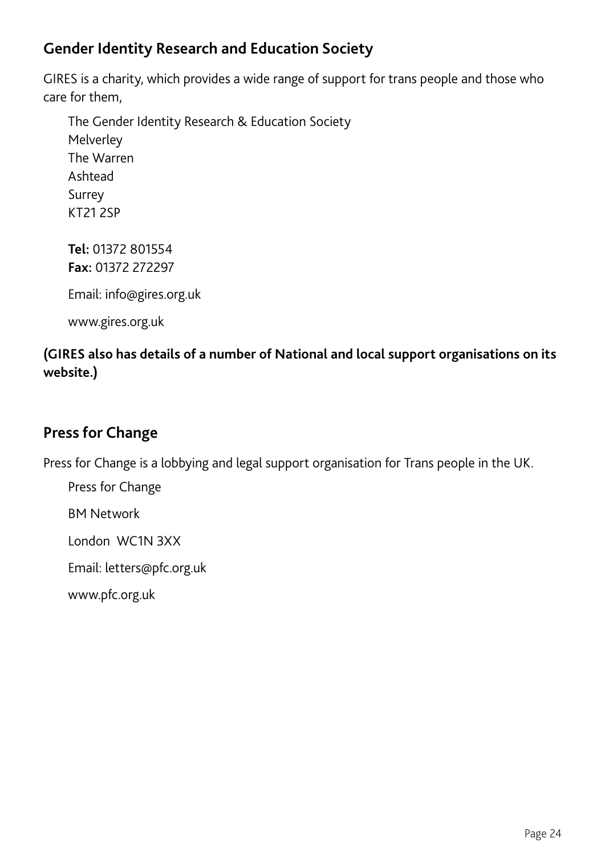# **Gender Identity Research and Education Society**

GIRES is a charity, which provides a wide range of support for trans people and those who care for them,

The Gender Identity Research & Education Society Melverley The Warren Ashtead Surrey KT21 2SP

**Tel:** 01372 801554 **Fax:** 01372 272297

Email: [info@gires.org.uk](mailto:info@gires.org.uk)

www.gires.org.uk

### **(GIRES also has details of a number of National and local support organisations on its website.)**

### **Press for Change**

Press for Change is a lobbying and legal support organisation for Trans people in the UK.

Press for Change

BM Network

London WC1N 3XX

Email: [letters@pfc.org.uk](mailto:letters@pfc.org.uk)

[www.pfc.org.uk](http://www.pfc.org.uk/)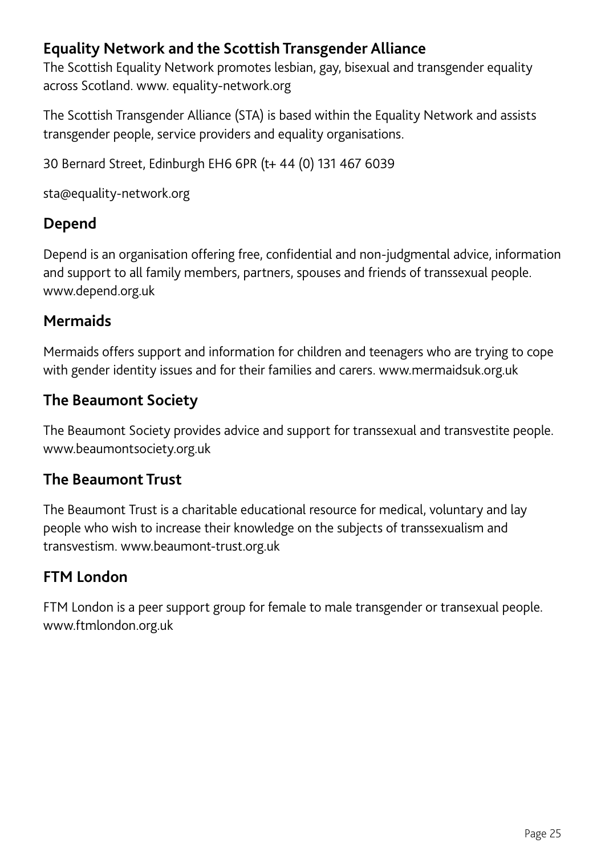# **[Equality Network](http://www.equality-network.org/) and the Scottish Transgender Alliance**

The Scottish Equality Network promotes lesbian, gay, bisexual and transgender equality across Scotland. www. equality-network.org

The Scottish Transgender Alliance (STA) is based within the Equality Network and assists transgender people, service providers and equality organisations.

30 Bernard Street, Edinburgh EH6 6PR (t+ 44 (0) 131 467 6039

sta@equality-network.org

# **[Depend](http://www.depend.org.uk/)**

Depend is an organisation offering free, confidential and non-judgmental advice, information and support to all family members, partners, spouses and friends of transsexual people. www.depend.org.uk

# **[Mermaids](http://www.mermaids.freeuk.com/)**

Mermaids offers support and information for children and teenagers who are trying to cope with gender identity issues and for their families and carers. www.mermaidsuk.org.uk

# **[The Beaumont Society](http://www.beaumontsociety.org.uk/)**

The Beaumont Society provides advice and support for transsexual and transvestite people. www.beaumontsociety.org.uk

# **[The Beaumont Trust](http://www.beaumont-trust.org.uk/)**

The Beaumont Trust is a charitable educational resource for medical, voluntary and lay people who wish to increase their knowledge on the subjects of transsexualism and transvestism. www.beaumont-trust.org.uk

# **FTM London**

FTM London is a peer support group for female to male transgender or transexual people. www.ftmlondon.org.uk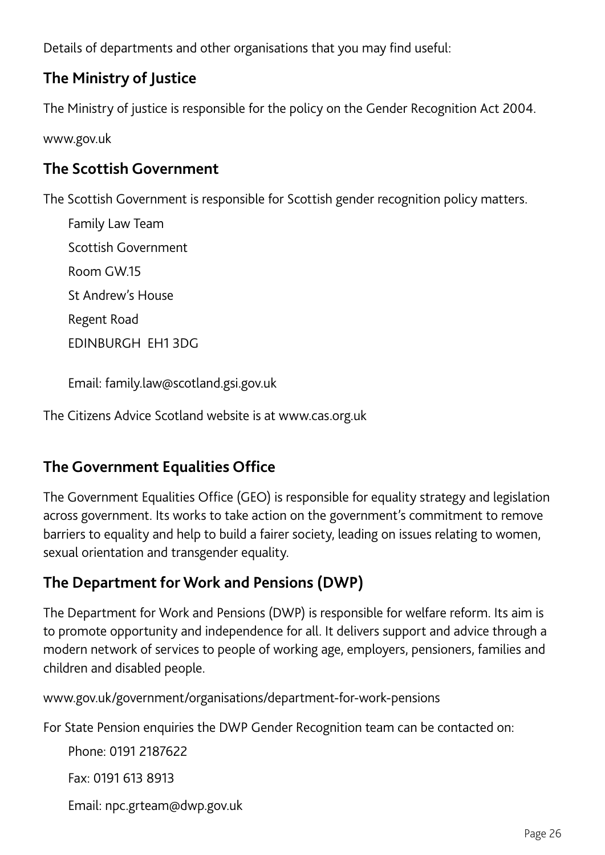Details of departments and other organisations that you may find useful:

# **The Ministry of Justice**

The Ministry of justice is responsible for the policy on the Gender Recognition Act 2004.

www.gov.uk

# **The Scottish Government**

The Scottish Government is responsible for Scottish gender recognition policy matters.

Family Law Team Scottish Government Room GW.15 St Andrew's House Regent Road EDINBURGH EH1 3DG

Email: [family.law@scotland.gsi.gov.uk](mailto:family.law@scotland.gsi.gov.uk)

The Citizens Advice Scotland website is at [www.cas.org.uk](http://www.cas.org.uk/)

# **The Government Equalities Office**

The Government Equalities Office (GEO) is responsible for equality strategy and legislation across government. Its works to take action on the government's commitment to remove barriers to equality and help to build a fairer society, leading on issues relating to women, sexual orientation and transgender equality.

# **The Department for Work and Pensions (DWP)**

The Department for Work and Pensions (DWP) is responsible for welfare reform. Its aim is to promote opportunity and independence for all. It delivers support and advice through a modern network of services to people of working age, employers, pensioners, families and children and disabled people.

[www.gov.uk/government/organisations/department-for-work-pensions](https://www.gov.uk/government/organisations/department-for-work-pensions)

For State Pension enquiries the DWP Gender Recognition team can be contacted on:

Phone: 0191 2187622

Fax: 0191 613 8913

Email: npc.grteam@dwp.gov.uk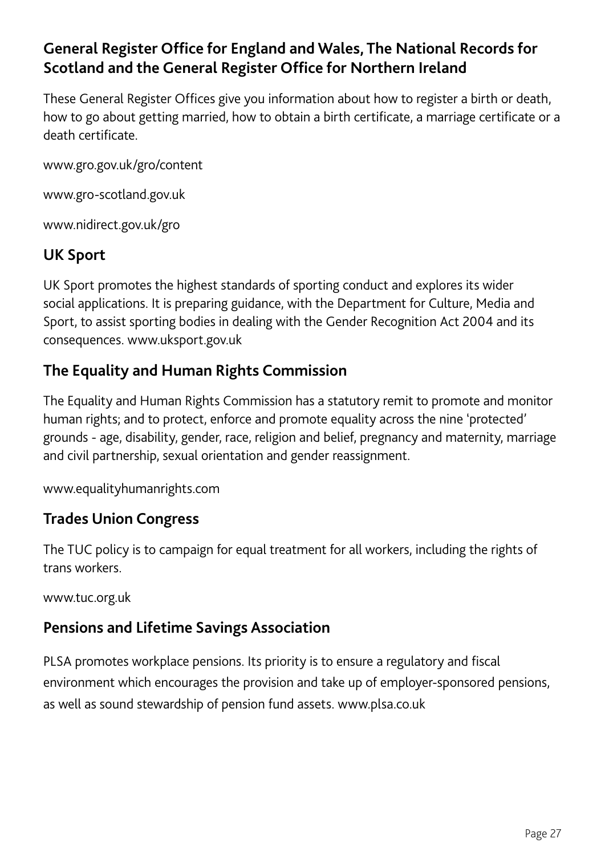# **General Register Office for England and Wales, The National Records for Scotland and the General Register Office for Northern Ireland**

These General Register Offices give you information about how to register a birth or death, how to go about getting married, how to obtain a birth certificate, a marriage certificate or a death certificate.

[www.gro.gov.uk/gro/content](http://www.gro.gov.uk/gro/content/)

[www.gro-scotland.gov.uk](http://www.gro-scotland.gov.uk/)

[www.nidirect.gov.uk/gro](http://www.nidirect.gov.uk/gro)

### **UK Sport**

UK Sport promotes the highest standards of sporting conduct and explores its wider social applications. It is preparing guidance, with the Department for Culture, Media and Sport, to assist sporting bodies in dealing with the Gender Recognition Act 2004 and its consequences. [www.uksport.gov.uk](http://www.uksport.gov.uk/)

# **The Equality and Human Rights Commission**

The Equality and Human Rights Commission has a statutory remit to promote and monitor human rights; and to protect, enforce and promote equality across the nine 'protected' grounds - age, disability, gender, race, religion and belief, pregnancy and maternity, marriage and civil partnership, sexual orientation and gender reassignment.

www.equalityhumanrights.com

### **[Trades Union Congress](http://www.tuc.org.uk/equality/tuc-8246-f0.cfm)**

The TUC policy is to campaign for equal treatment for all workers, including the rights of trans workers.

www.tuc.org.uk

### **Pensions and Lifetime Savings Association**

PLSA promotes workplace pensions. Its priority is to ensure a regulatory and fiscal environment which encourages the provision and take up of employer-sponsored pensions, as well as sound stewardship of pension fund assets. [www.plsa.co.uk](http://www.napf.co.uk/)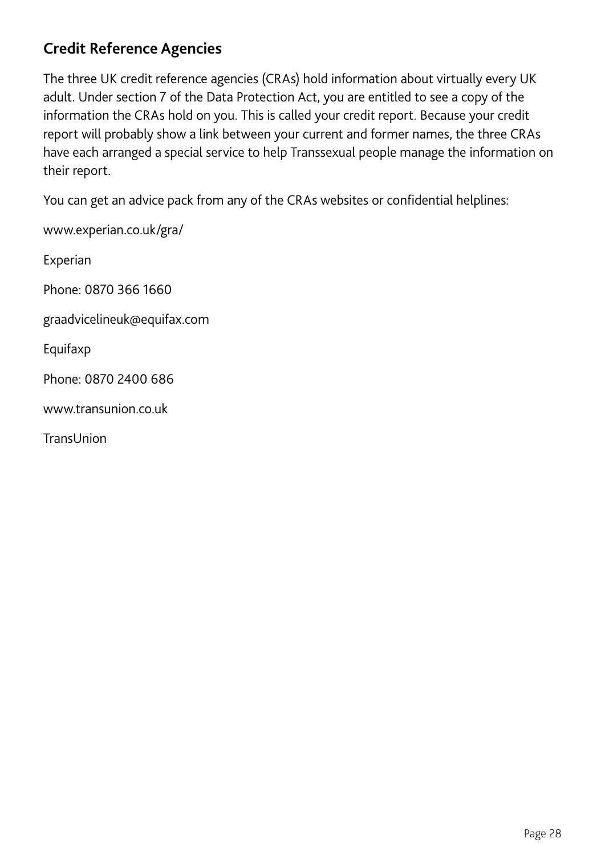# **Credit Reference Agencies**

The three UK credit reference agencies (CRAs) hold information about virtually every UK adult. Under section 7 of the Data Protection Act, you are entitled to see a copy of the information the CRAs hold on you. This is called your credit report. Because your credit report will probably show a link between your current and former names, the three CRAs have each arranged a special service to help Transsexual people manage the information on their report.

You can get an advice pack from any of the CRAs websites or confidential helplines:

www.experian.co.uk/gra/ Experian Phone: 0870 366 1660 graadvicelineuk@equifax.com Equifaxp Phone: 0870 2400 686 www.transunion.co.uk

TransUnion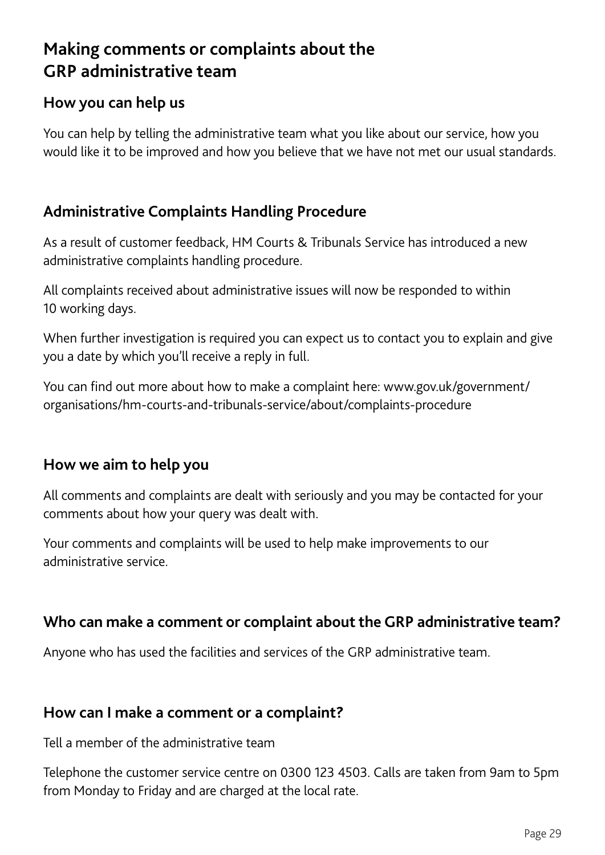# **Making comments or complaints about the GRP administrative team**

# **How you can help us**

You can help by telling the administrative team what you like about our service, how you would like it to be improved and how you believe that we have not met our usual standards.

# **Administrative Complaints Handling Procedure**

As a result of customer feedback, HM Courts & Tribunals Service has introduced a new administrative complaints handling procedure.

All complaints received about administrative issues will now be responded to within 10 working days.

When further investigation is required you can expect us to contact you to explain and give you a date by which you'll receive a reply in full.

You can find out more about how to make a complaint here: www.gov.uk/government/ organisations/hm-courts-and-tribunals-service/about/complaints-procedure

# **How we aim to help you**

All comments and complaints are dealt with seriously and you may be contacted for your comments about how your query was dealt with.

Your comments and complaints will be used to help make improvements to our administrative service.

# **Who can make a comment or complaint about the GRP administrative team?**

Anyone who has used the facilities and services of the GRP administrative team.

# **How can I make a comment or a complaint?**

Tell a member of the administrative team

Telephone the customer service centre on 0300 123 4503. Calls are taken from 9am to 5pm from Monday to Friday and are charged at the local rate.